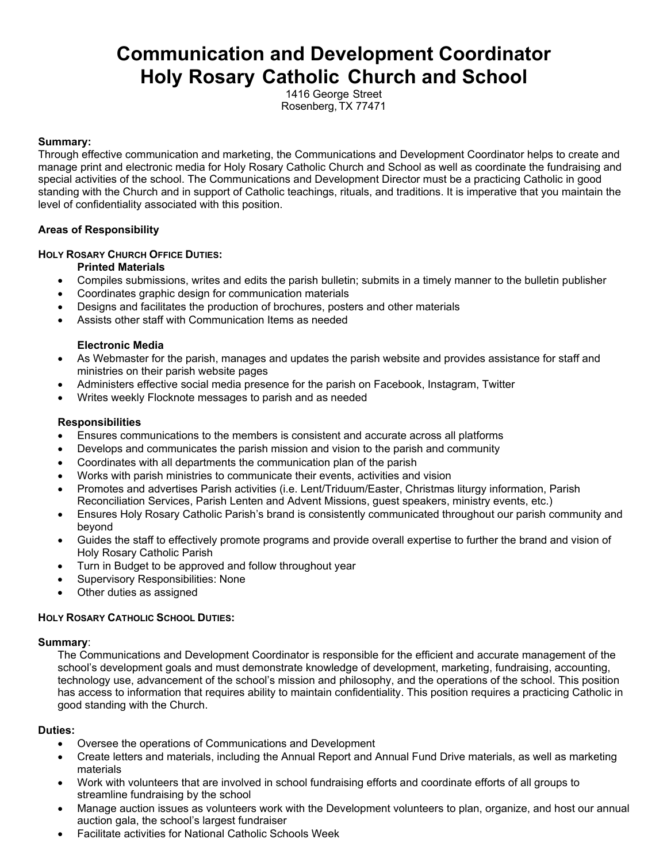# **Communication and Development Coordinator Holy Rosary Catholic Church and School**

1416 George Street Rosenberg, TX 77471

## **Summary:**

Through effective communication and marketing, the Communications and Development Coordinator helps to create and manage print and electronic media for Holy Rosary Catholic Church and School as well as coordinate the fundraising and special activities of the school. The Communications and Development Director must be a practicing Catholic in good standing with the Church and in support of Catholic teachings, rituals, and traditions. It is imperative that you maintain the level of confidentiality associated with this position.

## **Areas of Responsibility**

## **HOLY ROSARY CHURCH OFFICE DUTIES:**

## **Printed Materials**

- Compiles submissions, writes and edits the parish bulletin; submits in a timely manner to the bulletin publisher
- Coordinates graphic design for communication materials
- Designs and facilitates the production of brochures, posters and other materials
- Assists other staff with Communication Items as needed

### **Electronic Media**

- As Webmaster for the parish, manages and updates the parish website and provides assistance for staff and ministries on their parish website pages
- Administers effective social media presence for the parish on Facebook, Instagram, Twitter
- Writes weekly Flocknote messages to parish and as needed

## **Responsibilities**

- Ensures communications to the members is consistent and accurate across all platforms
- Develops and communicates the parish mission and vision to the parish and community
- Coordinates with all departments the communication plan of the parish
- Works with parish ministries to communicate their events, activities and vision
- Promotes and advertises Parish activities (i.e. Lent/Triduum/Easter, Christmas liturgy information, Parish Reconciliation Services, Parish Lenten and Advent Missions, guest speakers, ministry events, etc.)
- Ensures Holy Rosary Catholic Parish's brand is consistently communicated throughout our parish community and beyond
- Guides the staff to effectively promote programs and provide overall expertise to further the brand and vision of Holy Rosary Catholic Parish
- Turn in Budget to be approved and follow throughout year
- Supervisory Responsibilities: None
- Other duties as assigned

# **HOLY ROSARY CATHOLIC SCHOOL DUTIES:**

### **Summary**:

The Communications and Development Coordinator is responsible for the efficient and accurate management of the school's development goals and must demonstrate knowledge of development, marketing, fundraising, accounting, technology use, advancement of the school's mission and philosophy, and the operations of the school. This position has access to information that requires ability to maintain confidentiality. This position requires a practicing Catholic in good standing with the Church.

### **Duties:**

- Oversee the operations of Communications and Development
- Create letters and materials, including the Annual Report and Annual Fund Drive materials, as well as marketing materials
- Work with volunteers that are involved in school fundraising efforts and coordinate efforts of all groups to streamline fundraising by the school
- Manage auction issues as volunteers work with the Development volunteers to plan, organize, and host our annual auction gala, the school's largest fundraiser
- Facilitate activities for National Catholic Schools Week